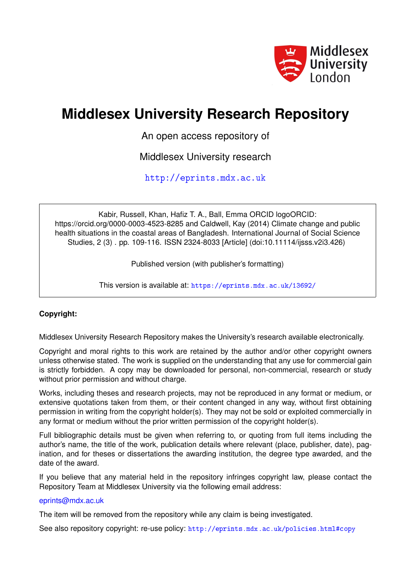

# **Middlesex University Research Repository**

An open access repository of

Middlesex University research

<http://eprints.mdx.ac.uk>

Kabir, Russell, Khan, Hafiz T. A., Ball, Emma ORCID logoORCID: https://orcid.org/0000-0003-4523-8285 and Caldwell, Kay (2014) Climate change and public health situations in the coastal areas of Bangladesh. International Journal of Social Science Studies, 2 (3) . pp. 109-116. ISSN 2324-8033 [Article] (doi:10.11114/ijsss.v2i3.426)

Published version (with publisher's formatting)

This version is available at: <https://eprints.mdx.ac.uk/13692/>

## **Copyright:**

Middlesex University Research Repository makes the University's research available electronically.

Copyright and moral rights to this work are retained by the author and/or other copyright owners unless otherwise stated. The work is supplied on the understanding that any use for commercial gain is strictly forbidden. A copy may be downloaded for personal, non-commercial, research or study without prior permission and without charge.

Works, including theses and research projects, may not be reproduced in any format or medium, or extensive quotations taken from them, or their content changed in any way, without first obtaining permission in writing from the copyright holder(s). They may not be sold or exploited commercially in any format or medium without the prior written permission of the copyright holder(s).

Full bibliographic details must be given when referring to, or quoting from full items including the author's name, the title of the work, publication details where relevant (place, publisher, date), pagination, and for theses or dissertations the awarding institution, the degree type awarded, and the date of the award.

If you believe that any material held in the repository infringes copyright law, please contact the Repository Team at Middlesex University via the following email address:

### [eprints@mdx.ac.uk](mailto:eprints@mdx.ac.uk)

The item will be removed from the repository while any claim is being investigated.

See also repository copyright: re-use policy: <http://eprints.mdx.ac.uk/policies.html#copy>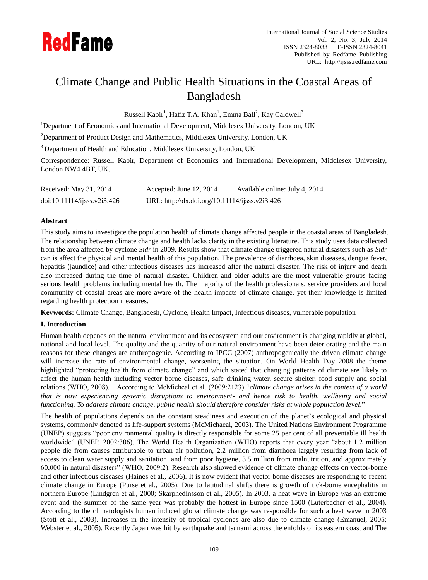

# Climate Change and Public Health Situations in the Coastal Areas of Bangladesh

Russell Kabir<sup>1</sup>, Hafiz T.A. Khan<sup>1</sup>, Emma Ball<sup>2</sup>, Kay Caldwell<sup>3</sup>

<sup>1</sup>Department of Economics and International Development, Middlesex University, London, UK

 $2$ Department of Product Design and Mathematics, Middlesex University, London, UK

<sup>3</sup> Department of Health and Education, Middlesex University, London, UK

Correspondence: Russell Kabir, Department of Economics and International Development, Middlesex University, London NW4 4BT, UK.

| Received: May 31, 2014     | Accepted: June 12, 2014                        | Available online: July 4, 2014 |
|----------------------------|------------------------------------------------|--------------------------------|
| doi:10.11114/j5ss.v2i3.426 | URL: http://dx.doi.org/10.11114/ijsss.v2i3.426 |                                |

#### **Abstract**

This study aims to investigate the population health of climate change affected people in the coastal areas of Bangladesh. The relationship between climate change and health lacks clarity in the existing literature. This study uses data collected from the area affected by cyclone *Sidr* in 2009. Results show that climate change triggered natural disasters such as *Sidr* can is affect the physical and mental health of this population. The prevalence of diarrhoea, skin diseases, dengue fever, hepatitis (jaundice) and other infectious diseases has increased after the natural disaster. The risk of injury and death also increased during the time of natural disaster. Children and older adults are the most vulnerable groups facing serious health problems including mental health. The majority of the health professionals, service providers and local community of coastal areas are more aware of the health impacts of climate change, yet their knowledge is limited regarding health protection measures.

**Keywords:** Climate Change, Bangladesh, Cyclone, Health Impact, Infectious diseases, vulnerable population

#### **I. Introduction**

Human health depends on the natural environment and its ecosystem and our environment is changing rapidly at global, national and local level. The quality and the quantity of our natural environment have been deteriorating and the main reasons for these changes are anthropogenic. According to IPCC (2007) anthropogenically the driven climate change will increase the rate of environmental change, worsening the situation. On World Health Day 2008 the theme highlighted "protecting health from climate change" and which stated that changing patterns of climate are likely to affect the human health including vector borne diseases, safe drinking water, secure shelter, food supply and social relations (WHO, 2008). According to McMicheal et al. (2009:2123) "*climate change arises in the context of a world that is now experiencing systemic disruptions to environment- and hence risk to health, wellbeing and social functioning. To address climate change, public health should therefore consider risks at whole population level*."

The health of populations depends on the constant steadiness and execution of the planet`s ecological and physical systems, commonly denoted as life-support systems (McMichaeal, 2003). The United Nations Environment Programme (UNEP) suggests "poor environmental quality is directly responsible for some 25 per cent of all preventable ill health worldwide" (UNEP, 2002:306). The World Health Organization (WHO) reports that every year "about 1.2 million people die from causes attributable to urban air pollution, 2.2 million from diarrhoea largely resulting from lack of access to clean water supply and sanitation, and from poor hygiene, 3.5 million from malnutrition, and approximately 60,000 in natural disasters" (WHO, 2009:2). Research also showed evidence of climate change effects on vector-borne and other infectious diseases (Haines et al., 2006). It is now evident that vector borne diseases are responding to recent climate change in Europe (Purse et al., 2005). Due to latitudinal shifts there is growth of tick-borne encephalitis in northern Europe (Lindgren et al., 2000; Skarphedinsson et al., 2005). In 2003, a heat wave in Europe was an extreme event and the summer of the same year was probably the hottest in Europe since 1500 (Luterbacher et al., 2004). According to the climatologists human induced global climate change was responsible for such a heat wave in 2003 (Stott et al., 2003). Increases in the intensity of tropical cyclones are also due to climate change (Emanuel, 2005; Webster et al., 2005). Recently Japan was hit by earthquake and tsunami across the enfolds of its eastern coast and The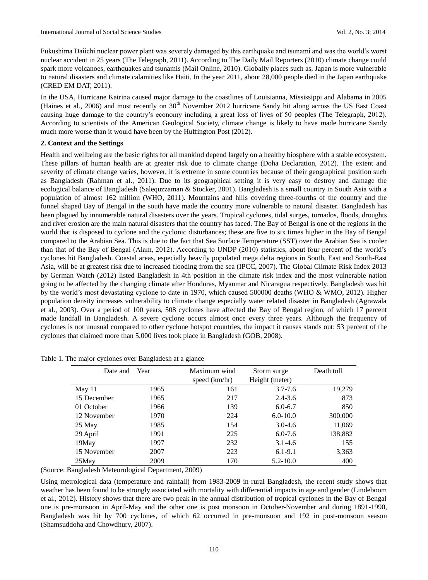Fukushima Daiichi nuclear power plant was severely damaged by this earthquake and tsunami and was the world's worst nuclear accident in 25 years (The Telegraph, 2011). According to The Daily Mail Reporters (2010) climate change could spark more volcanoes, earthquakes and tsunamis (Mail Online, 2010). Globally places such as, Japan is more vulnerable to natural disasters and climate calamities like Haiti. In the year 2011, about 28,000 people died in the Japan earthquake (CRED EM DAT, 2011).

In the USA, Hurricane Katrina caused major damage to the coastlines of Louisianna, Mississippi and Alabama in 2005 (Haines et al., 2006) and most recently on  $30<sup>th</sup>$  November 2012 hurricane Sandy hit along across the US East Coast causing huge damage to the country's economy including a great loss of lives of 50 peoples (The Telegraph, 2012). According to scientists of the American Geological Society, climate change is likely to have made hurricane Sandy much more worse than it would have been by the Huffington Post (2012).

#### **2. Context and the Settings**

Health and wellbeing are the basic rights for all mankind depend largely on a healthy biosphere with a stable ecosystem. These pillars of human health are at greater risk due to climate change (Doha Declaration, 2012). The extent and severity of climate change varies, however, it is extreme in some countries because of their geographical position such as Bangladesh (Rahman et al., 2011). Due to its geographical setting it is very easy to destroy and damage the ecological balance of Bangladesh (Salequzzaman & Stocker, 2001). Bangladesh is a small country in South Asia with a population of almost 162 million (WHO, 2011). Mountains and hills covering three-fourths of the country and the funnel shaped Bay of Bengal in the south have made the country more vulnerable to natural disaster. Bangladesh has been plagued by innumerable natural disasters over the years. Tropical cyclones, tidal surges, tornados, floods, droughts and river erosion are the main natural disasters that the country has faced. The Bay of Bengal is one of the regions in the world that is disposed to cyclone and the cyclonic disturbances; these are five to six times higher in the Bay of Bengal compared to the Arabian Sea. This is due to the fact that Sea Surface Temperature (SST) over the Arabian Sea is cooler than that of the Bay of Bengal (Alam, 2012). According to UNDP (2010) statistics, about four percent of the world's cyclones hit Bangladesh. Coastal areas, especially heavily populated mega delta regions in South, East and South-East Asia, will be at greatest risk due to increased flooding from the sea (IPCC, 2007). The Global Climate Risk Index 2013 by German Watch (2012) listed Bangladesh in 4th position in the climate risk index and the most vulnerable nation going to be affected by the changing climate after Honduras, Myanmar and Nicaragua respectively. Bangladesh was hit by the world's most devastating cyclone to date in 1970, which caused 500000 deaths (WHO & WMO, 2012). Higher population density increases vulnerability to climate change especially water related disaster in Bangladesh (Agrawala et al., 2003). Over a period of 100 years, 508 cyclones have affected the Bay of Bengal region, of which 17 percent made landfall in Bangladesh. A severe cyclone occurs almost once every three years. Although the frequency of cyclones is not unusual compared to other cyclone hotspot countries, the impact it causes stands out: 53 percent of the cyclones that claimed more than 5,000 lives took place in Bangladesh (GOB, 2008).

| Date and    | Year | Maximum wind  | Storm surge    | Death toll |
|-------------|------|---------------|----------------|------------|
|             |      | speed (km/hr) | Height (meter) |            |
| May 11      | 1965 | 161           | $3.7 - 7.6$    | 19,279     |
| 15 December | 1965 | 217           | $2.4 - 3.6$    | 873        |
| 01 October  | 1966 | 139           | $6.0 - 6.7$    | 850        |
| 12 November | 1970 | 224           | $6.0 - 10.0$   | 300,000    |
| 25 May      | 1985 | 154           | $3.0 - 4.6$    | 11,069     |
| 29 April    | 1991 | 225           | $6.0 - 7.6$    | 138,882    |
| 19May       | 1997 | 232           | $3.1 - 4.6$    | 155        |
| 15 November | 2007 | 223           | $6.1 - 9.1$    | 3,363      |
| $25$ May    | 2009 | 170           | $5.2 - 10.0$   | 400        |

Table 1. The major cyclones over Bangladesh at a glance

(Source: Bangladesh Meteorological Department, 2009)

Using metrological data (temperature and rainfall) from 1983-2009 in rural Bangladesh, the recent study shows that weather has been found to be strongly associated with mortality with differential impacts in age and gender (Lindeboom et al., 2012). History shows that there are two peak in the annual distribution of tropical cyclones in the Bay of Bengal one is pre-monsoon in April-May and the other one is post monsoon in October-November and during 1891-1990, Bangladesh was hit by 700 cyclones, of which 62 occurred in pre-monsoon and 192 in post-monsoon season (Shamsuddoha and Chowdhury, 2007).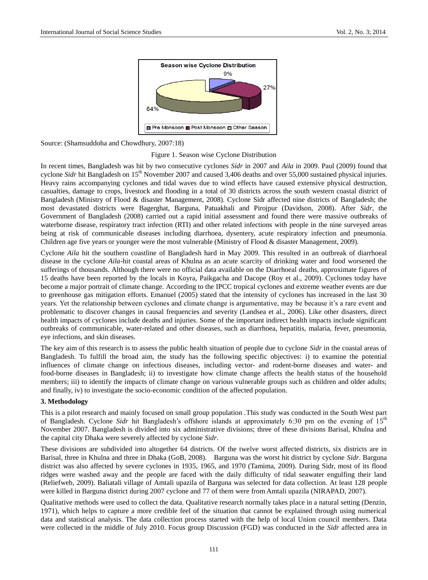

Source: (Shamsuddoha and Chowdhury, 2007:18)

#### Figure 1. Season wise Cyclone Distribution

In recent times, Bangladesh was hit by two consecutive cyclones *Sidr* in 2007 and *Aila* in 2009. Paul (2009) found that cyclone *Sidr* hit Bangladesh on 15<sup>th</sup> November 2007 and caused 3,406 deaths and over 55,000 sustained physical injuries. Heavy rains accompanying cyclones and tidal waves due to wind effects have caused extensive physical destruction, casualties, damage to crops, livestock and flooding in a total of 30 districts across the south western coastal district of Bangladesh (Ministry of Flood & disaster Management, 2008). Cyclone Sidr affected nine districts of Bangladesh; the most devastated districts were Bagerghat, Barguna, Patuakhali and Pirojpur (Davidson, 2008). After *Sidr*, the Government of Bangladesh (2008) carried out a rapid initial assessment and found there were massive outbreaks of waterborne disease, respiratory tract infection (RTI) and other related infections with people in the nine surveyed areas being at risk of communicable diseases including diarrhoea, dysentery, acute respiratory infection and pneumonia. Children age five years or younger were the most vulnerable (Ministry of Flood & disaster Management, 2009).

Cyclone *Aila* hit the southern coastline of Bangladesh hard in May 2009. This resulted in an outbreak of diarrhoeal disease in the cyclone *Aila*-hit coastal areas of Khulna as an acute scarcity of drinking water and food worsened the sufferings of thousands. Although there were no official data available on the Diarrhoeal deaths, approximate figures of 15 deaths have been reported by the locals in Koyra, Paikgacha and Dacope (Roy et al., 2009). Cyclones today have become a major portrait of climate change. According to the IPCC tropical cyclones and extreme weather events are due to greenhouse gas mitigation efforts. Emanuel (2005) stated that the intensity of cyclones has increased in the last 30 years. Yet the relationship between cyclones and climate change is argumentative, may be because it's a rare event and problematic to discover changes in causal frequencies and severity (Landsea et al., 2006). Like other disasters, direct health impacts of cyclones include deaths and injuries. Some of the important indirect health impacts include significant outbreaks of communicable, water-related and other diseases, such as diarrhoea, hepatitis, malaria, fever, pneumonia, eye infections, and skin diseases.

The key aim of this research is to assess the public health situation of people due to cyclone *Sidr* in the coastal areas of Bangladesh. To fulfill the broad aim, the study has the following specific objectives: i) to examine the potential influences of climate change on infectious diseases, including vector- and rodent-borne diseases and water- and food-borne diseases in Bangladesh; ii) to investigate how climate change affects the health status of the household members; iii) to identify the impacts of climate change on various vulnerable groups such as children and older adults; and finally, iv) to investigate the socio-economic condition of the affected population.

#### **3. Methodology**

This is a pilot research and mainly focused on small group population .This study was conducted in the South West part of Bangladesh. Cyclone Sidr hit Bangladesh's offshore islands at approximately 6:30 pm on the evening of 15<sup>th</sup> November 2007. Bangladesh is divided into six administrative divisions; three of these divisions Barisal, Khulna and the capital city Dhaka were severely affected by cyclone *Sidr*.

These divisions are subdivided into altogether 64 districts. Of the twelve worst affected districts, six districts are in Barisal, three in Khulna and three in Dhaka (GoB, 2008). Barguna was the worst hit district by cyclone *Sidr*. Barguna district was also affected by severe cyclones in 1935, 1965, and 1970 (Tamima, 2009). During Sidr, most of its flood ridges were washed away and the people are faced with the daily difficulty of tidal seawater engulfing their land (Reliefweb, 2009). Baliatali village of Amtali upazila of Barguna was selected for data collection. At least 128 people were killed in Barguna district during 2007 cyclone and 77 of them were from Amtali upazila (NIRAPAD, 2007).

Qualitative methods were used to collect the data. Qualitative research normally takes place in a natural setting (Denzin, 1971), which helps to capture a more credible feel of the situation that cannot be explained through using numerical data and statistical analysis. The data collection process started with the help of local Union council members. Data were collected in the middle of July 2010. Focus group Discussion (FGD) was conducted in the *Sidr* affected area in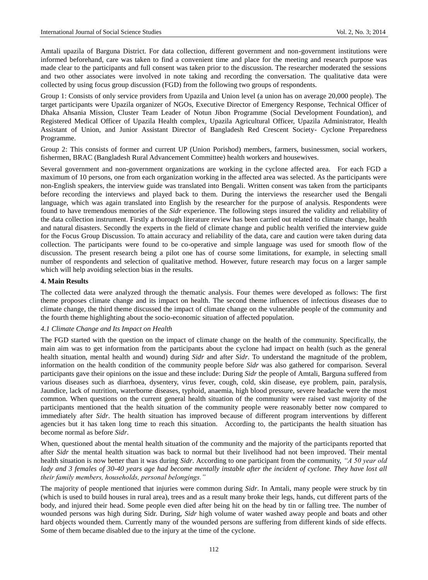Amtali upazila of Barguna District. For data collection, different government and non-government institutions were informed beforehand, care was taken to find a convenient time and place for the meeting and research purpose was made clear to the participants and full consent was taken prior to the discussion. The researcher moderated the sessions and two other associates were involved in note taking and recording the conversation. The qualitative data were collected by using focus group discussion (FGD) from the following two groups of respondents.

Group 1: Consists of only service providers from Upazila and Union level (a union has on average 20,000 people). The target participants were Upazila organizer of NGOs, Executive Director of Emergency Response, Technical Officer of Dhaka Ahsania Mission, Cluster Team Leader of Notun Jibon Programme (Social Development Foundation), and Registered Medical Officer of Upazila Health complex, Upazila Agricultural Officer, Upazila Administrator, Health Assistant of Union, and Junior Assistant Director of Bangladesh Red Crescent Society- Cyclone Preparedness Programme.

Group 2: This consists of former and current UP (Union Porishod) members, farmers, businessmen, social workers, fishermen, BRAC (Bangladesh Rural Advancement Committee) health workers and housewives.

Several government and non-government organizations are working in the cyclone affected area. For each FGD a maximum of 10 persons, one from each organization working in the affected area was selected. As the participants were non-English speakers, the interview guide was translated into Bengali. Written consent was taken from the participants before recording the interviews and played back to them. During the interviews the researcher used the Bengali language, which was again translated into English by the researcher for the purpose of analysis. Respondents were found to have tremendous memories of the *Sidr* experience. The following steps insured the validity and reliability of the data collection instrument. Firstly a thorough literature review has been carried out related to climate change, health and natural disasters. Secondly the experts in the field of climate change and public health verified the interview guide for the Focus Group Discussion. To attain accuracy and reliability of the data, care and caution were taken during data collection. The participants were found to be co-operative and simple language was used for smooth flow of the discussion. The present research being a pilot one has of course some limitations, for example, in selecting small number of respondents and selection of qualitative method. However, future research may focus on a larger sample which will help avoiding selection bias in the results.

#### **4. Main Results**

The collected data were analyzed through the thematic analysis. Four themes were developed as follows: The first theme proposes climate change and its impact on health. The second theme influences of infectious diseases due to climate change, the third theme discussed the impact of climate change on the vulnerable people of the community and the fourth theme highlighting about the socio-economic situation of affected population.

#### *4.1 Climate Change and Its Impact on Health*

The FGD started with the question on the impact of climate change on the health of the community. Specifically, the main aim was to get information from the participants about the cyclone had impact on health (such as the general health situation, mental health and wound) during *Sidr* and after *Sidr*. To understand the magnitude of the problem, information on the health condition of the community people before *Sidr* was also gathered for comparison. Several participants gave their opinions on the issue and these include: During *Sidr* the people of Amtali, Barguna suffered from various diseases such as diarrhoea, dysentery, virus fever, cough, cold, skin disease, eye problem, pain, paralysis, Jaundice, lack of nutrition, waterborne diseases, typhoid, anaemia, high blood pressure, severe headache were the most common. When questions on the current general health situation of the community were raised vast majority of the participants mentioned that the health situation of the community people were reasonably better now compared to immediately after *Sidr*. The health situation has improved because of different program interventions by different agencies but it has taken long time to reach this situation. According to, the participants the health situation has become normal as before *Sidr*.

When, questioned about the mental health situation of the community and the majority of the participants reported that after *Sidr* the mental health situation was back to normal but their livelihood had not been improved. Their mental health situation is now better than it was during *Sidr*. According to one participant from the community, *"A 50 year old*  lady and 3 females of 30-40 years age had become mentally instable after the incident of cyclone. They have lost all *their family members, households, personal belongings."*

The majority of people mentioned that injuries were common during *Sidr*. In Amtali, many people were struck by tin (which is used to build houses in rural area), trees and as a result many broke their legs, hands, cut different parts of the body, and injured their head. Some people even died after being hit on the head by tin or falling tree. The number of wounded persons was high during Sidr. During, *Sidr* high volume of water washed away people and boats and other hard objects wounded them. Currently many of the wounded persons are suffering from different kinds of side effects. Some of them became disabled due to the injury at the time of the cyclone.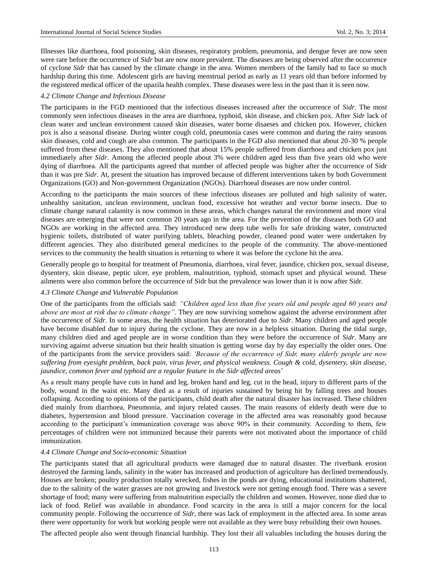Illnesses like diarrhoea, food poisoning, skin diseases, respiratory problem, pneumonia, and dengue fever are now seen were rare before the occurrence of *Sidr* but are now more prevalent. The diseases are being observed after the occurrence of cyclone *Sidr* that has caused by the climate change in the area. Women members of the family had to face so much hardship during this time. Adolescent girls are having menstrual period as early as 11 years old than before informed by the registered medical officer of the upazila health complex. These diseases were less in the past than it is seen now.

#### *4.2 Climate Change and Infectious Disease*

The participants in the FGD mentioned that the infectious diseases increased after the occurrence of *Sidr*. The most commonly seen infectious diseases in the area are diarrhoea, typhoid, skin disease, and chicken pox. After *Sidr* lack of clean water and unclean environment caused skin diseases, water borne disaeses and chicken pox. However, chicken pox is also a seasonal disease. During winter cough cold, pneumonia cases were common and during the rainy seasons skin diseases, cold and cough are also common. The participants in the FGD also mentioned that about 20-30 % people suffered from these diseases. They also mentioned that about 15% people suffered from diarrhoea and chicken pox just immediately after *Sidr*. Among the affected people about 3% were children aged less than five years old who were dying of diarrhoea. All the participants agreed that number of affected people was higher after the occurrence of Sidr than it was pre *Sidr*. At, present the situation has improved because of different interventions taken by both Government Organizations (GO) and Non-government Organization (NGOs). Diarrhoeal diseases are now under control.

According to the participants the main sources of these infectious diseases are polluted and high salinity of water, unhealthy sanitation, unclean environment, unclean food, excessive hot weather and vector borne insects. Due to climate change natural calamity is now common in these areas, which changes natural the environment and more viral diseases are emerging that were not common 20 years ago in the area. For the prevention of the diseases both GO and NGOs are working in the affected area. They introduced new deep tube wells for safe drinking water, constructed hygienic toilets, distributed of water purifying tablets, bleaching powder, cleaned pond water were undertaken by different agencies. They also distributed general medicines to the people of the community. The above-mentioned services to the community the health situation is returning to where it was before the cyclone hit the area.

Generally people go to hospital for treatment of Pneumonia, diarrhoea, viral fever, jaundice, chicken pox, sexual disease, dysentery, skin disease, peptic ulcer, eye problem, malnutrition, typhoid, stomach upset and physical wound. These ailments were also common before the occurrence of Sidr but the prevalence was lower than it is now after Sidr.

#### *4.3 Climate Change and Vulnerable Population*

One of the participants from the officials said: *"Children aged less than five years old and people aged 60 years and above are most at risk due to climate change"*. They are now surviving somehow against the adverse environment after the occurrence of *Sidr*. In some areas, the health situation has deteriorated due to *Sidr*. Many children and aged people have become disabled due to injury during the cyclone. They are now in a helpless situation. During the tidal surge, many children died and aged people are in worse condition than they were before the occurrence of *Sidr*. Many are surviving against adverse situation but their health situation is getting worse day by day especially the older ones. One of the participants from the service providers said: *'Because of the occurrence of Sidr, many elderly people are now suffering from eyesight problem, back pain, virus fever, and physical weakness. Cough & cold, dysentery, skin disease, jaundice, common fever and typhoid are a regular feature in the Sidr affected areas*'

As a result many people have cuts in hand and leg, broken hand and leg, cut in the head, injury to different parts of the body, wound in the waist etc. Many died as a result of injuries sustained by being hit by falling trees and houses collapsing. According to opinions of the participants, child death after the natural disaster has increased. These children died mainly from diarrhoea, Pneumonia, and injury related causes. The main reasons of elderly death were due to diabetes, hypertension and blood pressure. Vaccination coverage in the affected area was reasonably good because according to the participant's immunization coverage was above 90% in their community. According to them, few percentages of children were not immunized because their parents were not motivated about the importance of child immunization.

#### *4.4 Climate Change and Socio-economic Situation*

The participants stated that all agricultural products were damaged due to natural disaster. The riverbank erosion destroyed the farming lands, salinity in the water has increased and production of agriculture has declined tremendously. Houses are broken; poultry production totally wrecked, fishes in the ponds are dying, educational institutions shattered, due to the salinity of the water grasses are not growing and livestock were not getting enough food. There was a severe shortage of food; many were suffering from malnutrition especially the children and women. However, none died due to lack of food. Relief was available in abundance. Food scarcity in the area is still a major concern for the local community people. Following the occurrence of *Sidr*, there was lack of employment in the affected area. In some areas there were opportunity for work but working people were not available as they were busy rebuilding their own houses.

The affected people also went through financial hardship. They lost their all valuables including the houses during the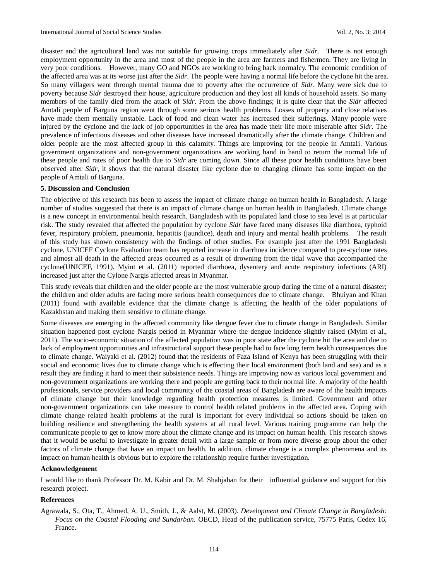disaster and the agricultural land was not suitable for growing crops immediately after *Sidr*. There is not enough employment opportunity in the area and most of the people in the area are farmers and fishermen. They are living in very poor conditions. However, many GO and NGOs are working to bring back normalcy. The economic condition of the affected area was at its worse just after the *Sidr*. The people were having a normal life before the cyclone hit the area. So many villagers went through mental trauma due to poverty after the occurrence of *Sidr*. Many were sick due to poverty because *Sidr* destroyed their house, agriculture production and they lost all kinds of household assets. So many members of the family died from the attack of *Sidr*. From the above findings; it is quite clear that the *Sidr* affected Amtali people of Barguna region went through some serious health problems. Losses of property and close relatives have made them mentally unstable. Lack of food and clean water has increased their sufferings. Many people were injured by the cyclone and the lack of job opportunities in the area has made their life more miserable after *Sidr*. The prevalence of infectious diseases and other diseases have increased dramatically after the climate change. Children and older people are the most affected group in this calamity. Things are improving for the people in Amtali. Various government organizations and non-government organizations are working hand in hand to return the normal life of these people and rates of poor health due to *Sidr* are coming down. Since all these poor health conditions have been observed after *Sidr*, it shows that the natural disaster like cyclone due to changing climate has some impact on the people of Amtali of Barguna.

#### **5. Discussion and Conclusion**

The objective of this research has been to assess the impact of climate change on human health in Bangladesh. A large number of studies suggested that there is an impact of climate change on human health in Bangladesh. Climate change is a new concept in environmental health research. Bangladesh with its populated land close to sea level is at particular risk. The study revealed that affected the population by cyclone *Sidr* have faced many diseases like diarrhoea, typhoid fever, respiratory problem, pneumonia, hepatitis (jaundice), death and injury and mental health problems. The result of this study has shown consistency with the findings of other studies. For example just after the 1991 Bangladesh cyclone, UNICEF Cyclone Evaluation team has reported increase in diarrhoea incidence compared to pre-cyclone rates and almost all death in the affected areas occurred as a result of drowning from the tidal wave that accompanied the cyclone(UNICEF, 1991). Myint et al. (2011) reported diarrhoea, dysentery and acute respiratory infections (ARI) increased just after the Cylone Nargis affected areas in Myanmar.

This study reveals that children and the older people are the most vulnerable group during the time of a natural disaster; the children and older adults are facing more serious health consequences due to climate change. Bhuiyan and Khan (2011) found with available evidence that the climate change is affecting the health of the older populations of Kazakhstan and making them sensitive to climate change.

Some diseases are emerging in the affected community like dengue fever due to climate change in Bangladesh. Similar situation happened post cyclone Nargis period in Myanmar where the dengue incidence slightly raised (Myint et al., 2011). The socio-economic situation of the affected population was in poor state after the cyclone hit the area and due to lack of employment opportunities and infrastructural support these people had to face long term health consequences due to climate change. Waiyaki et al. (2012) found that the residents of Faza Island of Kenya has been struggling with their social and economic lives due to climate change which is effecting their local environment (both land and sea) and as a result they are finding it hard to meet their subsistence needs. Things are improving now as various local government and non-government organizations are working there and people are getting back to their normal life. A majority of the health professionals, service providers and local community of the coastal areas of Bangladesh are aware of the health impacts of climate change but their knowledge regarding health protection measures is limited. Government and other non-government organizations can take measure to control health related problems in the affected area. Coping with climate change related health problems at the rural is important for every individual so actions should be taken on building resilience and strengthening the health systems at all rural level. Various training programme can help the communicate people to get to know more about the climate change and its impact on human health. This research shows that it would be useful to investigate in greater detail with a large sample or from more diverse group about the other factors of climate change that have an impact on health. In addition, climate change is a complex phenomena and its impact on human health is obvious but to explore the relationship require further investigation.

#### **Acknowledgement**

I would like to thank Professor Dr. M. Kabir and Dr. M. Shahjahan for their influential guidance and support for this research project.

#### **References**

Agrawala, S., Ota, T., Ahmed, A. U., Smith, J., & Aalst, M. (2003). *Development and Climate Change in Bangladesh: Focus on the Coastal Flooding and Sundarban.* OECD, Head of the publication service, 75775 Paris, Cedex 16, France.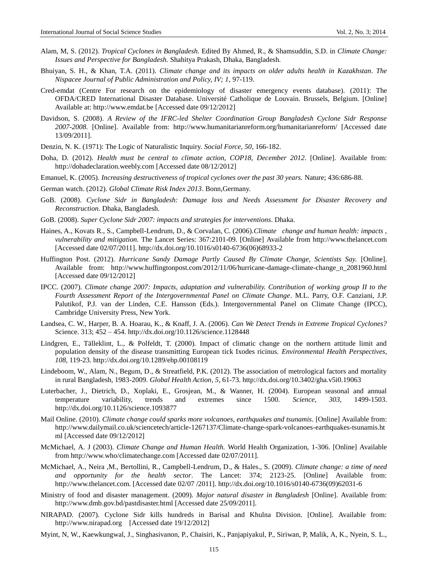- Alam, M, S. (2012). *Tropical Cyclones in Bangladesh.* Edited By Ahmed, R., & Shamsuddin, S.D. in *Climate Change: Issues and Perspective for Bangladesh.* Shahitya Prakash, Dhaka, Bangladesh.
- Bhuiyan, S. H., & Khan, T.A. (2011). *Climate change and its impacts on older adults health in Kazakhstan*. *The Nispacee Journal of Public Administration and Policy, IV; 1,* 97-119.
- Cred-emdat (Centre For research on the epidemiology of disaster emergency events database). (2011): The OFDA/CRED International Disaster Database. Université Catholique de Louvain. Brussels, Belgium. [Online] Available at: [http://www.emdat.be](http://www.emdat.be/) [Accessed date 09/12/2012]
- Davidson, S. (2008). *A Review of the IFRC-led Shelter Coordination Group Bangladesh Cyclone Sidr Response 2007-2008.* [Online]. Available from: http://www.humanitarianreform.org/humanitarianreform/ [Accessed date 13/09/2011].
- Denzin, N. K. (1971): The Logic of Naturalistic Inquiry. *Social Force, 50,* 166-182.
- Doha, D. (2012). *Health must be central to climate action, COP18, December 2012*. [Online]. Available from: [http://dohadeclaration.weebly.com](http://dohadeclaration.weebly.com/) [Accessed date 08/12/2012]
- Emanuel, K. (2005). *Increasing destructiveness of tropical cyclones over the past 30 years.* Nature; 436:686-88.
- German watch. (2012). *Global Climate Risk Index 2013*. Bonn,Germany.
- GoB. (2008). *Cyclone Sidr in Bangladesh: Damage loss and Needs Assessment for Disaster Recovery and Reconstruction*. Dhaka, Bangladesh.
- GoB. (2008). *Super Cyclone Sidr 2007: impacts and strategies for interventions*. Dhaka.
- Haines, A., Kovats R., S., Campbell-Lendrum, D., & Corvalan, C. (2006).*Climate change and human health: impacts , vulnerability and mitigation.* The Lancet Series: 367:2101-09. [Online] Available from http://www.thelancet.com [Accessed date 02/07/2011]. http://dx.doi.org/10.1016/s0140-6736(06)68933-2
- Huffington Post. (2012). *Hurricane Sandy Damage Partly Caused By Climate Change, Scientists Say.* [Online]. Available from: [http://www.huffingtonpost.com/2012/11/06/hurricane-damage-climate-change\\_n\\_2081960.html](http://www.huffingtonpost.com/2012/11/06/hurricane-damage-climate-change_n_2081960.html) [Accessed date 09/12/2012]
- IPCC. (2007). *Climate change 2007: Impacts, adaptation and vulnerability. Contribution of working group II to the Fourth Assessment Report of the Intergovernmental Panel on Climate Change*. M.L. Parry, O.F. Canziani, J.P. Palutikof, P.J. van der Linden, C.E. Hansson (Eds.). Intergovernmental Panel on Climate Change (IPCC), Cambridge University Press, New York.
- Landsea, C. W., Harper, B. A. Hoarau, K., & Knaff, J. A. (2006). *Can We Detect Trends in Extreme Tropical Cyclones?*  Science. 313; 452 – 454. http://dx.doi.org/10.1126/science.1128448
- Lindgren, E., Tälleklint, L., & Polfeldt, T. (2000). Impact of climatic change on the northern attitude limit and population density of the disease transmitting European tick Ixodes ricinus. *Environmental Health Perspectives, 108,* 119-23. http://dx.doi.org/10.1289/ehp.00108119
- Lindeboom, W., Alam, N., Begum, D., & Streatfield, P.K. (2012). The association of metrological factors and mortality in rural Bangladesh, 1983-2009. *Global Health Action, 5*, 61-73. http://dx.doi.org/10.3402/gha.v5i0.19063
- Luterbacher, J., Dietrich, D., Xoplaki, E., Grosjean, M., & Wanner, H. (2004). European seasonal and annual temperature variability, trends and extremes since 1500. *Science, 303,* 1499-1503. http://dx.doi.org/10.1126/science.1093877
- Mail Online. (2010). *Climate change could sparks more volcanoes, earthquakes and tsunamis*. [Online] Available from: [http://www.dailymail.co.uk/sciencetech/article-1267137/Climate-change-spark-volcanoes-earthquakes-tsunamis.ht](http://www.dailymail.co.uk/sciencetech/article-1267137/Climate-change-spark-volcanoes-earthquakes-tsunamis.html) [ml](http://www.dailymail.co.uk/sciencetech/article-1267137/Climate-change-spark-volcanoes-earthquakes-tsunamis.html) [Accessed date 09/12/2012]
- McMichael, A. J (2003). *Climate Change and Human Health.* World Health Organization, 1-306. [Online] Available from http://www.who/climatechange.com [Accessed date 02/07/2011].
- McMichael, A., Neira ,M., Bertollini, R., Campbell-Lendrum, D., & Hales., S. (2009). *Climate change: a time of need and opportunity for the health sector*. The Lancet: 374; 2123-25. [Online] Available from: http://www.thelancet.com. [Accessed date 02/07 /2011]. http://dx.doi.org/10.1016/s0140-6736(09)62031-6
- Ministry of food and disaster management. (2009). *Major natural disaster in Bangladesh* [Online]. Available from: <http://www.dmb.gov.bd/pastdisaster.html> [Accessed date 25/09/2011].
- NIRAPAD. (2007). Cyclone Sidr kills hundreds in Barisal and Khulna Division. [Online]. Available from: [http://www.nirapad.org](http://www.nirapad.org/) [Accessed date 19/12/2012]
- Myint, N, W., Kaewkungwal, J., Singhasivanon, P., Chaisiri, K., Panjapiyakul, P., Siriwan, P, Malik, A, K., Nyein, S. L.,